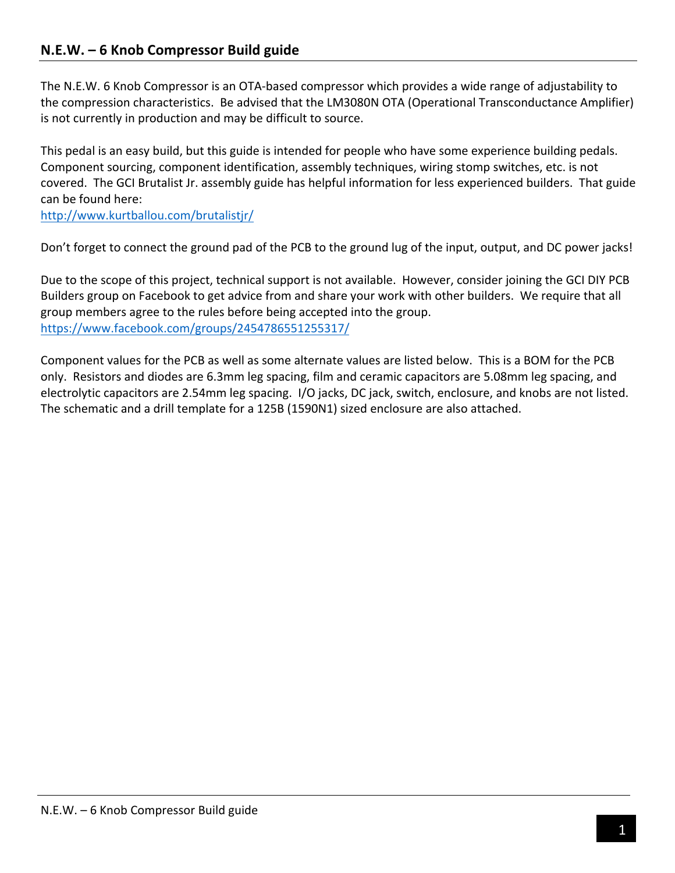## **N.E.W. – 6 Knob Compressor Build guide**

The N.E.W. 6 Knob Compressor is an OTA-based compressor which provides a wide range of adjustability to the compression characteristics. Be advised that the LM3080N OTA (Operational Transconductance Amplifier) is not currently in production and may be difficult to source.

This pedal is an easy build, but this guide is intended for people who have some experience building pedals. Component sourcing, component identification, assembly techniques, wiring stomp switches, etc. is not covered. The GCI Brutalist Jr. assembly guide has helpful information for less experienced builders. That guide can be found here:

http://www.kurtballou.com/brutalistjr/

Don't forget to connect the ground pad of the PCB to the ground lug of the input, output, and DC power jacks!

Due to the scope of this project, technical support is not available. However, consider joining the GCI DIY PCB Builders group on Facebook to get advice from and share your work with other builders. We require that all group members agree to the rules before being accepted into the group. https://www.facebook.com/groups/2454786551255317/

Component values for the PCB as well as some alternate values are listed below. This is a BOM for the PCB only. Resistors and diodes are 6.3mm leg spacing, film and ceramic capacitors are 5.08mm leg spacing, and electrolytic capacitors are 2.54mm leg spacing. I/O jacks, DC jack, switch, enclosure, and knobs are not listed. The schematic and a drill template for a 125B (1590N1) sized enclosure are also attached.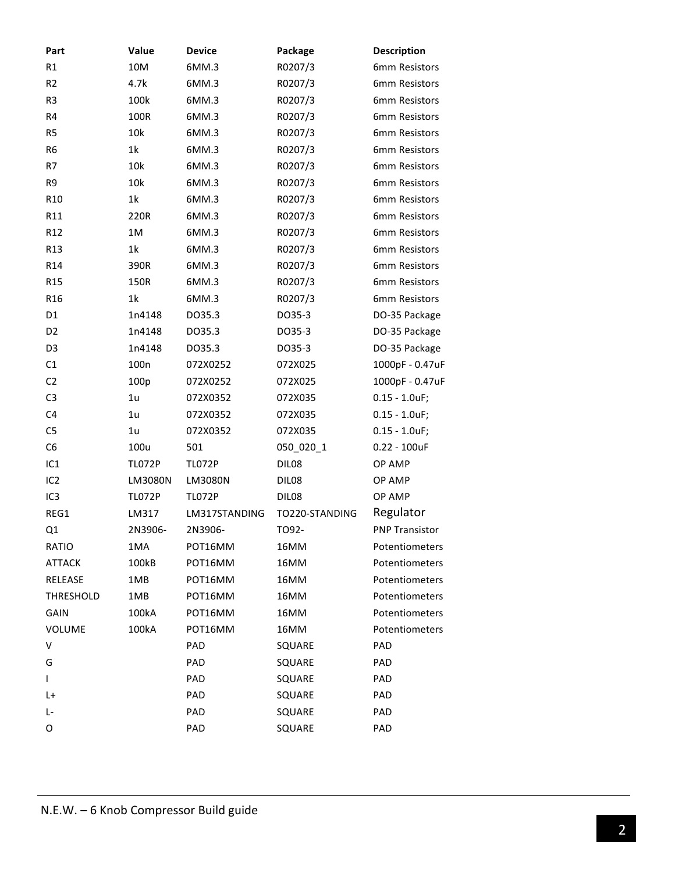| Part             | Value            | <b>Device</b> | Package        | <b>Description</b>    |
|------------------|------------------|---------------|----------------|-----------------------|
| R1               | 10M              | 6MM.3         | R0207/3        | 6mm Resistors         |
| R <sub>2</sub>   | 4.7k             | 6MM.3         | R0207/3        | 6mm Resistors         |
| R <sub>3</sub>   | 100k             | 6MM.3         | R0207/3        | 6mm Resistors         |
| R4               | 100R             | 6MM.3         | R0207/3        | 6mm Resistors         |
| R <sub>5</sub>   | 10k              | 6MM.3         | R0207/3        | 6mm Resistors         |
| R <sub>6</sub>   | 1k               | 6MM.3         | R0207/3        | 6mm Resistors         |
| R7               | 10k              | 6MM.3         | R0207/3        | 6mm Resistors         |
| R <sub>9</sub>   | 10k              | 6MM.3         | R0207/3        | 6mm Resistors         |
| R <sub>10</sub>  | 1k               | 6MM.3         | R0207/3        | 6mm Resistors         |
| R11              | 220R             | 6MM.3         | R0207/3        | 6mm Resistors         |
| R <sub>12</sub>  | 1M               | 6MM.3         | R0207/3        | 6mm Resistors         |
| R <sub>13</sub>  | 1k               | 6MM.3         | R0207/3        | 6mm Resistors         |
| R14              | 390R             | 6MM.3         | R0207/3        | 6mm Resistors         |
| R <sub>15</sub>  | 150R             | 6MM.3         | R0207/3        | 6mm Resistors         |
| R <sub>16</sub>  | 1 <sup>k</sup>   | 6MM.3         | R0207/3        | 6mm Resistors         |
| D <sub>1</sub>   | 1n4148           | DO35.3        | DO35-3         | DO-35 Package         |
| D <sub>2</sub>   | 1n4148           | DO35.3        | DO35-3         | DO-35 Package         |
| D <sub>3</sub>   | 1n4148           | DO35.3        | DO35-3         | DO-35 Package         |
| C1               | 100 <sub>n</sub> | 072X0252      | 072X025        | 1000pF - 0.47uF       |
| C <sub>2</sub>   | 100p             | 072X0252      | 072X025        | 1000pF - 0.47uF       |
| C <sub>3</sub>   | 1 <sub>u</sub>   | 072X0352      | 072X035        | $0.15 - 1.0$ uF;      |
| C4               | 1u               | 072X0352      | 072X035        | $0.15 - 1.0$ uF;      |
| C <sub>5</sub>   | 1u               | 072X0352      | 072X035        | $0.15 - 1.0$ uF;      |
| C <sub>6</sub>   | 100u             | 501           | 050_020_1      | $0.22 - 100$ uF       |
| IC <sub>1</sub>  | <b>TL072P</b>    | <b>TL072P</b> | DIL08          | OP AMP                |
| IC <sub>2</sub>  | LM3080N          | LM3080N       | DIL08          | OP AMP                |
| IC <sub>3</sub>  | <b>TL072P</b>    | <b>TL072P</b> | DIL08          | OP AMP                |
| REG1             | LM317            | LM317STANDING | TO220-STANDING | Regulator             |
| Q1               | 2N3906-          | 2N3906-       | TO92-          | <b>PNP Transistor</b> |
| RATIO            | 1MA              | POT16MM       | 16MM           | Potentiometers        |
| <b>ATTACK</b>    | 100kB            | POT16MM       | 16MM           | Potentiometers        |
| RELEASE          | 1MB              | POT16MM       | 16MM           | Potentiometers        |
| <b>THRESHOLD</b> | 1MB              | POT16MM       | 16MM           | Potentiometers        |
| GAIN             | 100kA            | POT16MM       | 16MM           | Potentiometers        |
| VOLUME           | 100kA            | POT16MM       | 16MM           | Potentiometers        |
| V                |                  | PAD           | SQUARE         | PAD                   |
| G                |                  | PAD           | SQUARE         | PAD                   |
| $\mathbf{I}$     |                  | PAD           | SQUARE         | PAD                   |
| L+               |                  | PAD           | SQUARE         | PAD                   |
| Ŀ                |                  | PAD           | SQUARE         | PAD                   |
| 0                |                  | PAD           | SQUARE         | PAD                   |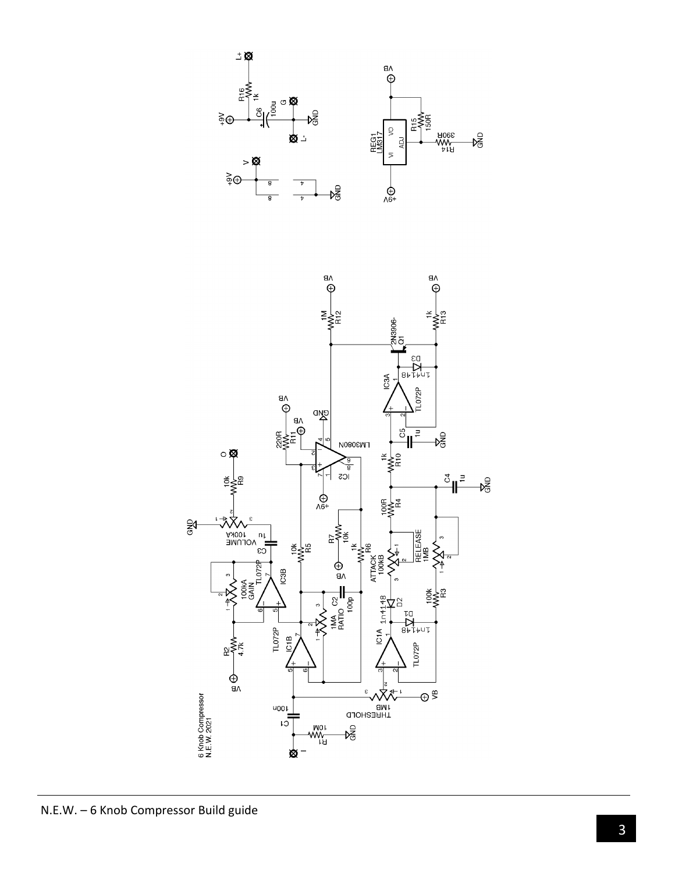